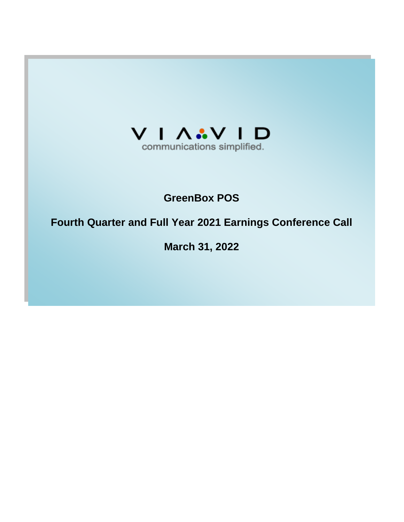

# **GreenBox POS**

# **Fourth Quarter and Full Year 2021 Earnings Conference Call**

**March 31, 2022**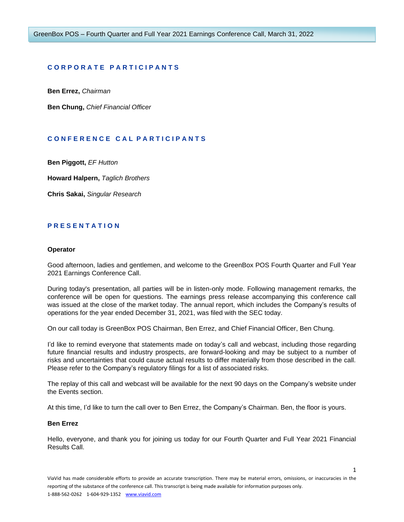# **C O R P O R A T E P A R T I C I P A N T S**

**Ben Errez,** *Chairman*

**Ben Chung,** *Chief Financial Officer*

# **C O N F E R E N C E C A L P A R T I C I P A N T S**

**Ben Piggott,** *EF Hutton*

**Howard Halpern,** *Taglich Brothers*

**Chris Sakai,** *Singular Research*

# **P R E S E N T A T I O N**

# **Operator**

Good afternoon, ladies and gentlemen, and welcome to the GreenBox POS Fourth Quarter and Full Year 2021 Earnings Conference Call.

During today's presentation, all parties will be in listen-only mode. Following management remarks, the conference will be open for questions. The earnings press release accompanying this conference call was issued at the close of the market today. The annual report, which includes the Company's results of operations for the year ended December 31, 2021, was filed with the SEC today.

On our call today is GreenBox POS Chairman, Ben Errez, and Chief Financial Officer, Ben Chung.

I'd like to remind everyone that statements made on today's call and webcast, including those regarding future financial results and industry prospects, are forward-looking and may be subject to a number of risks and uncertainties that could cause actual results to differ materially from those described in the call. Please refer to the Company's regulatory filings for a list of associated risks.

The replay of this call and webcast will be available for the next 90 days on the Company's website under the Events section.

At this time, I'd like to turn the call over to Ben Errez, the Company's Chairman. Ben, the floor is yours.

# **Ben Errez**

Hello, everyone, and thank you for joining us today for our Fourth Quarter and Full Year 2021 Financial Results Call.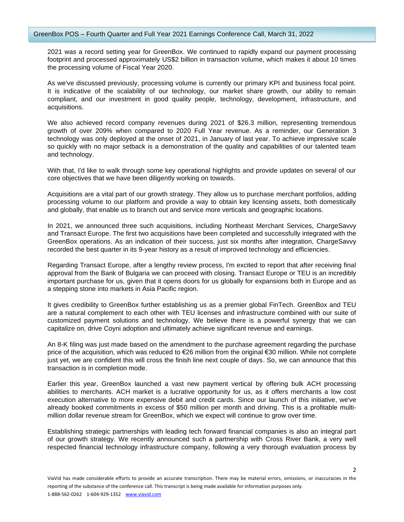2021 was a record setting year for GreenBox. We continued to rapidly expand our payment processing footprint and processed approximately US\$2 billion in transaction volume, which makes it about 10 times the processing volume of Fiscal Year 2020.

As we've discussed previously, processing volume is currently our primary KPI and business focal point. It is indicative of the scalability of our technology, our market share growth, our ability to remain compliant, and our investment in good quality people, technology, development, infrastructure, and acquisitions.

We also achieved record company revenues during 2021 of \$26.3 million, representing tremendous growth of over 209% when compared to 2020 Full Year revenue. As a reminder, our Generation 3 technology was only deployed at the onset of 2021, in January of last year. To achieve impressive scale so quickly with no major setback is a demonstration of the quality and capabilities of our talented team and technology.

With that, I'd like to walk through some key operational highlights and provide updates on several of our core objectives that we have been diligently working on towards.

Acquisitions are a vital part of our growth strategy. They allow us to purchase merchant portfolios, adding processing volume to our platform and provide a way to obtain key licensing assets, both domestically and globally, that enable us to branch out and service more verticals and geographic locations.

In 2021, we announced three such acquisitions, including Northeast Merchant Services, ChargeSavvy and Transact Europe. The first two acquisitions have been completed and successfully integrated with the GreenBox operations. As an indication of their success, just six months after integration, ChargeSavvy recorded the best quarter in its 9-year history as a result of improved technology and efficiencies.

Regarding Transact Europe, after a lengthy review process, I'm excited to report that after receiving final approval from the Bank of Bulgaria we can proceed with closing. Transact Europe or TEU is an incredibly important purchase for us, given that it opens doors for us globally for expansions both in Europe and as a stepping stone into markets in Asia Pacific region.

It gives credibility to GreenBox further establishing us as a premier global FinTech. GreenBox and TEU are a natural complement to each other with TEU licenses and infrastructure combined with our suite of customized payment solutions and technology. We believe there is a powerful synergy that we can capitalize on, drive Coyni adoption and ultimately achieve significant revenue and earnings.

An 8-K filing was just made based on the amendment to the purchase agreement regarding the purchase price of the acquisition, which was reduced to €26 million from the original €30 million. While not complete just yet, we are confident this will cross the finish line next couple of days. So, we can announce that this transaction is in completion mode.

Earlier this year, GreenBox launched a vast new payment vertical by offering bulk ACH processing abilities to merchants. ACH market is a lucrative opportunity for us, as it offers merchants a low cost execution alternative to more expensive debit and credit cards. Since our launch of this initiative, we've already booked commitments in excess of \$50 million per month and driving. This is a profitable multimillion dollar revenue stream for GreenBox, which we expect will continue to grow over time.

Establishing strategic partnerships with leading tech forward financial companies is also an integral part of our growth strategy. We recently announced such a partnership with Cross River Bank, a very well respected financial technology infrastructure company, following a very thorough evaluation process by

 $\mathcal{L}$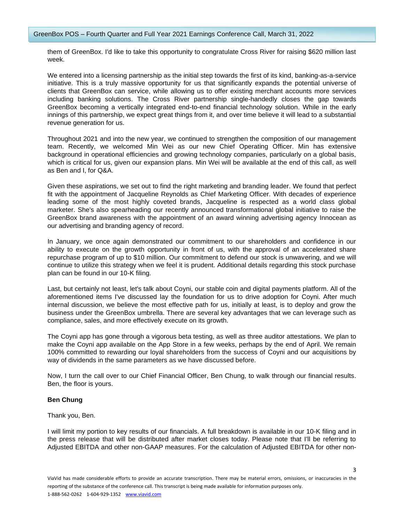them of GreenBox. I'd like to take this opportunity to congratulate Cross River for raising \$620 million last week.

We entered into a licensing partnership as the initial step towards the first of its kind, banking-as-a-service initiative. This is a truly massive opportunity for us that significantly expands the potential universe of clients that GreenBox can service, while allowing us to offer existing merchant accounts more services including banking solutions. The Cross River partnership single-handedly closes the gap towards GreenBox becoming a vertically integrated end-to-end financial technology solution. While in the early innings of this partnership, we expect great things from it, and over time believe it will lead to a substantial revenue generation for us.

Throughout 2021 and into the new year, we continued to strengthen the composition of our management team. Recently, we welcomed Min Wei as our new Chief Operating Officer. Min has extensive background in operational efficiencies and growing technology companies, particularly on a global basis, which is critical for us, given our expansion plans. Min Wei will be available at the end of this call, as well as Ben and I, for Q&A.

Given these aspirations, we set out to find the right marketing and branding leader. We found that perfect fit with the appointment of Jacqueline Reynolds as Chief Marketing Officer. With decades of experience leading some of the most highly coveted brands, Jacqueline is respected as a world class global marketer. She's also spearheading our recently announced transformational global initiative to raise the GreenBox brand awareness with the appointment of an award winning advertising agency Innocean as our advertising and branding agency of record.

In January, we once again demonstrated our commitment to our shareholders and confidence in our ability to execute on the growth opportunity in front of us, with the approval of an accelerated share repurchase program of up to \$10 million. Our commitment to defend our stock is unwavering, and we will continue to utilize this strategy when we feel it is prudent. Additional details regarding this stock purchase plan can be found in our 10-K filing.

Last, but certainly not least, let's talk about Coyni, our stable coin and digital payments platform. All of the aforementioned items I've discussed lay the foundation for us to drive adoption for Coyni. After much internal discussion, we believe the most effective path for us, initially at least, is to deploy and grow the business under the GreenBox umbrella. There are several key advantages that we can leverage such as compliance, sales, and more effectively execute on its growth.

The Coyni app has gone through a vigorous beta testing, as well as three auditor attestations. We plan to make the Coyni app available on the App Store in a few weeks, perhaps by the end of April. We remain 100% committed to rewarding our loyal shareholders from the success of Coyni and our acquisitions by way of dividends in the same parameters as we have discussed before.

Now, I turn the call over to our Chief Financial Officer, Ben Chung, to walk through our financial results. Ben, the floor is yours.

# **Ben Chung**

Thank you, Ben.

I will limit my portion to key results of our financials. A full breakdown is available in our 10-K filing and in the press release that will be distributed after market closes today. Please note that I'll be referring to Adjusted EBITDA and other non-GAAP measures. For the calculation of Adjusted EBITDA for other non-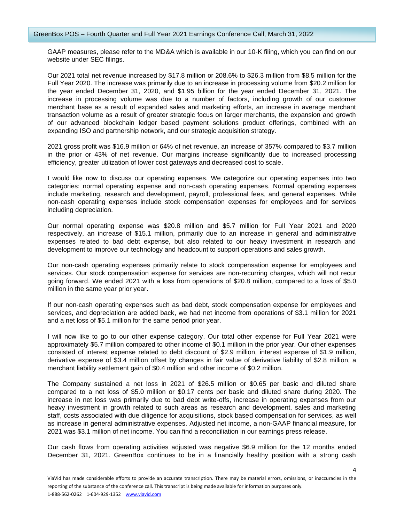GAAP measures, please refer to the MD&A which is available in our 10-K filing, which you can find on our website under SEC filings.

Our 2021 total net revenue increased by \$17.8 million or 208.6% to \$26.3 million from \$8.5 million for the Full Year 2020. The increase was primarily due to an increase in processing volume from \$20.2 million for the year ended December 31, 2020, and \$1.95 billion for the year ended December 31, 2021. The increase in processing volume was due to a number of factors, including growth of our customer merchant base as a result of expanded sales and marketing efforts, an increase in average merchant transaction volume as a result of greater strategic focus on larger merchants, the expansion and growth of our advanced blockchain ledger based payment solutions product offerings, combined with an expanding ISO and partnership network, and our strategic acquisition strategy.

2021 gross profit was \$16.9 million or 64% of net revenue, an increase of 357% compared to \$3.7 million in the prior or 43% of net revenue. Our margins increase significantly due to increased processing efficiency, greater utilization of lower cost gateways and decreased cost to scale.

I would like now to discuss our operating expenses. We categorize our operating expenses into two categories: normal operating expense and non-cash operating expenses. Normal operating expenses include marketing, research and development, payroll, professional fees, and general expenses. While non-cash operating expenses include stock compensation expenses for employees and for services including depreciation.

Our normal operating expense was \$20.8 million and \$5.7 million for Full Year 2021 and 2020 respectively, an increase of \$15.1 million, primarily due to an increase in general and administrative expenses related to bad debt expense, but also related to our heavy investment in research and development to improve our technology and headcount to support operations and sales growth.

Our non-cash operating expenses primarily relate to stock compensation expense for employees and services. Our stock compensation expense for services are non-recurring charges, which will not recur going forward. We ended 2021 with a loss from operations of \$20.8 million, compared to a loss of \$5.0 million in the same year prior year.

If our non-cash operating expenses such as bad debt, stock compensation expense for employees and services, and depreciation are added back, we had net income from operations of \$3.1 million for 2021 and a net loss of \$5.1 million for the same period prior year.

I will now like to go to our other expense category. Our total other expense for Full Year 2021 were approximately \$5.7 million compared to other income of \$0.1 million in the prior year. Our other expenses consisted of interest expense related to debt discount of \$2.9 million, interest expense of \$1.9 million, derivative expense of \$3.4 million offset by changes in fair value of derivative liability of \$2.8 million, a merchant liability settlement gain of \$0.4 million and other income of \$0.2 million.

The Company sustained a net loss in 2021 of \$26.5 million or \$0.65 per basic and diluted share compared to a net loss of \$5.0 million or \$0.17 cents per basic and diluted share during 2020. The increase in net loss was primarily due to bad debt write-offs, increase in operating expenses from our heavy investment in growth related to such areas as research and development, sales and marketing staff, costs associated with due diligence for acquisitions, stock based compensation for services, as well as increase in general administrative expenses. Adjusted net income, a non-GAAP financial measure, for 2021 was \$3.1 million of net income. You can find a reconciliation in our earnings press release.

Our cash flows from operating activities adjusted was negative \$6.9 million for the 12 months ended December 31, 2021. GreenBox continues to be in a financially healthy position with a strong cash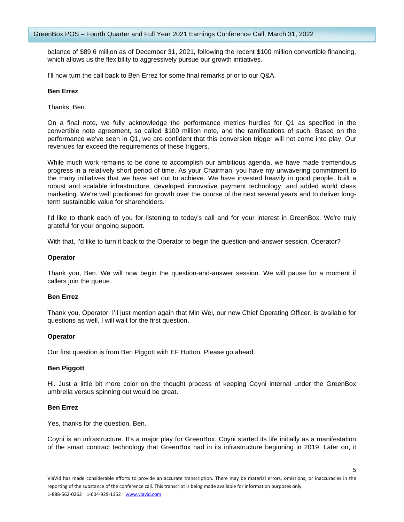balance of \$89.6 million as of December 31, 2021, following the recent \$100 million convertible financing, which allows us the flexibility to aggressively pursue our growth initiatives.

I'll now turn the call back to Ben Errez for some final remarks prior to our Q&A.

# **Ben Errez**

Thanks, Ben.

On a final note, we fully acknowledge the performance metrics hurdles for Q1 as specified in the convertible note agreement, so called \$100 million note, and the ramifications of such. Based on the performance we've seen in Q1, we are confident that this conversion trigger will not come into play. Our revenues far exceed the requirements of these triggers.

While much work remains to be done to accomplish our ambitious agenda, we have made tremendous progress in a relatively short period of time. As your Chairman, you have my unwavering commitment to the many initiatives that we have set out to achieve. We have invested heavily in good people, built a robust and scalable infrastructure, developed innovative payment technology, and added world class marketing. We're well positioned for growth over the course of the next several years and to deliver longterm sustainable value for shareholders.

I'd like to thank each of you for listening to today's call and for your interest in GreenBox. We're truly grateful for your ongoing support.

With that, I'd like to turn it back to the Operator to begin the question-and-answer session. Operator?

# **Operator**

Thank you, Ben. We will now begin the question-and-answer session. We will pause for a moment if callers join the queue.

## **Ben Errez**

Thank you, Operator. I'll just mention again that Min Wei, our new Chief Operating Officer, is available for questions as well. I will wait for the first question.

## **Operator**

Our first question is from Ben Piggott with EF Hutton. Please go ahead.

# **Ben Piggott**

Hi. Just a little bit more color on the thought process of keeping Coyni internal under the GreenBox umbrella versus spinning out would be great.

## **Ben Errez**

Yes, thanks for the question, Ben.

Coyni is an infrastructure. It's a major play for GreenBox. Coyni started its life initially as a manifestation of the smart contract technology that GreenBox had in its infrastructure beginning in 2019. Later on, it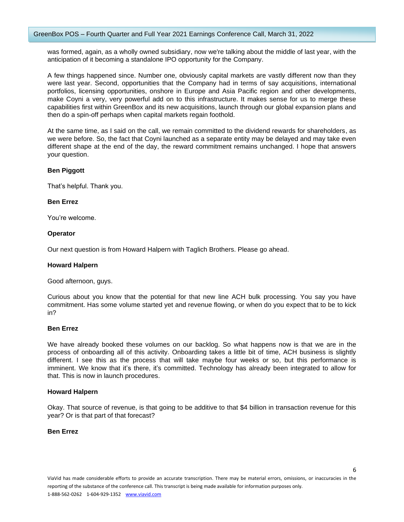was formed, again, as a wholly owned subsidiary, now we're talking about the middle of last year, with the anticipation of it becoming a standalone IPO opportunity for the Company.

A few things happened since. Number one, obviously capital markets are vastly different now than they were last year. Second, opportunities that the Company had in terms of say acquisitions, international portfolios, licensing opportunities, onshore in Europe and Asia Pacific region and other developments, make Coyni a very, very powerful add on to this infrastructure. It makes sense for us to merge these capabilities first within GreenBox and its new acquisitions, launch through our global expansion plans and then do a spin-off perhaps when capital markets regain foothold.

At the same time, as I said on the call, we remain committed to the dividend rewards for shareholders, as we were before. So, the fact that Coyni launched as a separate entity may be delayed and may take even different shape at the end of the day, the reward commitment remains unchanged. I hope that answers your question.

# **Ben Piggott**

That's helpful. Thank you.

# **Ben Errez**

You're welcome.

# **Operator**

Our next question is from Howard Halpern with Taglich Brothers. Please go ahead.

# **Howard Halpern**

Good afternoon, guys.

Curious about you know that the potential for that new line ACH bulk processing. You say you have commitment. Has some volume started yet and revenue flowing, or when do you expect that to be to kick in?

## **Ben Errez**

We have already booked these volumes on our backlog. So what happens now is that we are in the process of onboarding all of this activity. Onboarding takes a little bit of time, ACH business is slightly different. I see this as the process that will take maybe four weeks or so, but this performance is imminent. We know that it's there, it's committed. Technology has already been integrated to allow for that. This is now in launch procedures.

# **Howard Halpern**

Okay. That source of revenue, is that going to be additive to that \$4 billion in transaction revenue for this year? Or is that part of that forecast?

# **Ben Errez**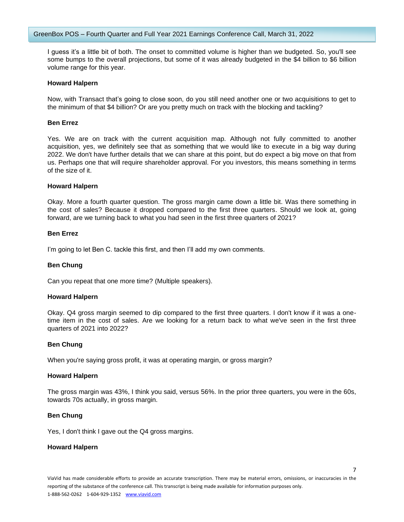I guess it's a little bit of both. The onset to committed volume is higher than we budgeted. So, you'll see some bumps to the overall projections, but some of it was already budgeted in the \$4 billion to \$6 billion volume range for this year.

#### **Howard Halpern**

Now, with Transact that's going to close soon, do you still need another one or two acquisitions to get to the minimum of that \$4 billion? Or are you pretty much on track with the blocking and tackling?

## **Ben Errez**

Yes. We are on track with the current acquisition map. Although not fully committed to another acquisition, yes, we definitely see that as something that we would like to execute in a big way during 2022. We don't have further details that we can share at this point, but do expect a big move on that from us. Perhaps one that will require shareholder approval. For you investors, this means something in terms of the size of it.

#### **Howard Halpern**

Okay. More a fourth quarter question. The gross margin came down a little bit. Was there something in the cost of sales? Because it dropped compared to the first three quarters. Should we look at, going forward, are we turning back to what you had seen in the first three quarters of 2021?

## **Ben Errez**

I'm going to let Ben C. tackle this first, and then I'll add my own comments.

## **Ben Chung**

Can you repeat that one more time? (Multiple speakers).

## **Howard Halpern**

Okay. Q4 gross margin seemed to dip compared to the first three quarters. I don't know if it was a onetime item in the cost of sales. Are we looking for a return back to what we've seen in the first three quarters of 2021 into 2022?

## **Ben Chung**

When you're saying gross profit, it was at operating margin, or gross margin?

#### **Howard Halpern**

The gross margin was 43%, I think you said, versus 56%. In the prior three quarters, you were in the 60s, towards 70s actually, in gross margin.

## **Ben Chung**

Yes, I don't think I gave out the Q4 gross margins.

#### **Howard Halpern**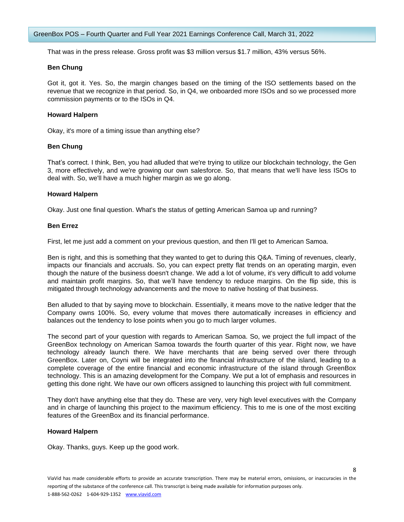That was in the press release. Gross profit was \$3 million versus \$1.7 million, 43% versus 56%.

# **Ben Chung**

Got it, got it. Yes. So, the margin changes based on the timing of the ISO settlements based on the revenue that we recognize in that period. So, in Q4, we onboarded more ISOs and so we processed more commission payments or to the ISOs in Q4.

# **Howard Halpern**

Okay, it's more of a timing issue than anything else?

# **Ben Chung**

That's correct. I think, Ben, you had alluded that we're trying to utilize our blockchain technology, the Gen 3, more effectively, and we're growing our own salesforce. So, that means that we'll have less ISOs to deal with. So, we'll have a much higher margin as we go along.

# **Howard Halpern**

Okay. Just one final question. What's the status of getting American Samoa up and running?

# **Ben Errez**

First, let me just add a comment on your previous question, and then I'll get to American Samoa.

Ben is right, and this is something that they wanted to get to during this Q&A. Timing of revenues, clearly, impacts our financials and accruals. So, you can expect pretty flat trends on an operating margin, even though the nature of the business doesn't change. We add a lot of volume, it's very difficult to add volume and maintain profit margins. So, that we'll have tendency to reduce margins. On the flip side, this is mitigated through technology advancements and the move to native hosting of that business.

Ben alluded to that by saying move to blockchain. Essentially, it means move to the native ledger that the Company owns 100%. So, every volume that moves there automatically increases in efficiency and balances out the tendency to lose points when you go to much larger volumes.

The second part of your question with regards to American Samoa. So, we project the full impact of the GreenBox technology on American Samoa towards the fourth quarter of this year. Right now, we have technology already launch there. We have merchants that are being served over there through GreenBox. Later on, Coyni will be integrated into the financial infrastructure of the island, leading to a complete coverage of the entire financial and economic infrastructure of the island through GreenBox technology. This is an amazing development for the Company. We put a lot of emphasis and resources in getting this done right. We have our own officers assigned to launching this project with full commitment.

They don't have anything else that they do. These are very, very high level executives with the Company and in charge of launching this project to the maximum efficiency. This to me is one of the most exciting features of the GreenBox and its financial performance.

# **Howard Halpern**

Okay. Thanks, guys. Keep up the good work.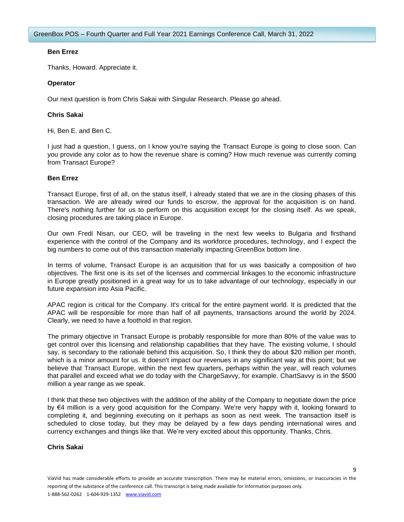# **Ben Errez**

Thanks, Howard. Appreciate it.

# **Operator**

Our next question is from Chris Sakai with Singular Research. Please go ahead.

# **Chris Sakai**

Hi, Ben E. and Ben C.

I just had a question, I guess, on I know you're saying the Transact Europe is going to close soon. Can you provide any color as to how the revenue share is coming? How much revenue was currently coming from Transact Europe?

# **Ben Errez**

Transact Europe, first of all, on the status itself, I already stated that we are in the closing phases of this transaction. We are already wired our funds to escrow, the approval for the acquisition is on hand. There's nothing further for us to perform on this acquisition except for the closing itself. As we speak, closing procedures are taking place in Europe.

Our own Fredi Nisan, our CEO, will be traveling in the next few weeks to Bulgaria and firsthand experience with the control of the Company and its workforce procedures, technology, and I expect the big numbers to come out of this transaction materially impacting GreenBox bottom line.

In terms of volume, Transact Europe is an acquisition that for us was basically a composition of two objectives. The first one is its set of the licenses and commercial linkages to the economic infrastructure in Europe greatly positioned in a great way for us to take advantage of our technology, especially in our future expansion into Asia Pacific.

APAC region is critical for the Company. It's critical for the entire payment world. It is predicted that the APAC will be responsible for more than half of all payments, transactions around the world by 2024. Clearly, we need to have a foothold in that region.

The primary objective in Transact Europe is probably responsible for more than 80% of the value was to get control over this licensing and relationship capabilities that they have. The existing volume, I should say, is secondary to the rationale behind this acquisition. So, I think they do about \$20 million per month, which is a minor amount for us. It doesn't impact our revenues in any significant way at this point; but we believe that Transact Europe, within the next few quarters, perhaps within the year, will reach volumes that parallel and exceed what we do today with the ChargeSavvy, for example. ChartSavvy is in the \$500 million a year range as we speak.

I think that these two objectives with the addition of the ability of the Company to negotiate down the price by €4 million is a very good acquisition for the Company. We're very happy with it, looking forward to completing it, and beginning executing on it perhaps as soon as next week. The transaction itself is scheduled to close today, but they may be delayed by a few days pending international wires and currency exchanges and things like that. We're very excited about this opportunity. Thanks, Chris.

# **Chris Sakai**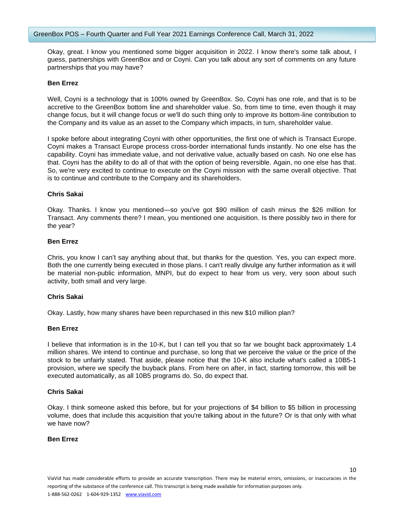Okay, great. I know you mentioned some bigger acquisition in 2022. I know there's some talk about, I guess, partnerships with GreenBox and or Coyni. Can you talk about any sort of comments on any future partnerships that you may have?

## **Ben Errez**

Well, Coyni is a technology that is 100% owned by GreenBox. So, Coyni has one role, and that is to be accretive to the GreenBox bottom line and shareholder value. So, from time to time, even though it may change focus, but it will change focus or we'll do such thing only to improve its bottom-line contribution to the Company and its value as an asset to the Company which impacts, in turn, shareholder value.

I spoke before about integrating Coyni with other opportunities, the first one of which is Transact Europe. Coyni makes a Transact Europe process cross-border international funds instantly. No one else has the capability. Coyni has immediate value, and not derivative value, actually based on cash. No one else has that. Coyni has the ability to do all of that with the option of being reversible. Again, no one else has that. So, we're very excited to continue to execute on the Coyni mission with the same overall objective. That is to continue and contribute to the Company and its shareholders.

# **Chris Sakai**

Okay. Thanks. I know you mentioned—so you've got \$90 million of cash minus the \$26 million for Transact. Any comments there? I mean, you mentioned one acquisition. Is there possibly two in there for the year?

## **Ben Errez**

Chris, you know I can't say anything about that, but thanks for the question. Yes, you can expect more. Both the one currently being executed in those plans. I can't really divulge any further information as it will be material non-public information, MNPI, but do expect to hear from us very, very soon about such activity, both small and very large.

# **Chris Sakai**

Okay. Lastly, how many shares have been repurchased in this new \$10 million plan?

## **Ben Errez**

I believe that information is in the 10-K, but I can tell you that so far we bought back approximately 1.4 million shares. We intend to continue and purchase, so long that we perceive the value or the price of the stock to be unfairly stated. That aside, please notice that the 10-K also include what's called a 10B5-1 provision, where we specify the buyback plans. From here on after, in fact, starting tomorrow, this will be executed automatically, as all 10B5 programs do. So, do expect that.

# **Chris Sakai**

Okay. I think someone asked this before, but for your projections of \$4 billion to \$5 billion in processing volume, does that include this acquisition that you're talking about in the future? Or is that only with what we have now?

# **Ben Errez**